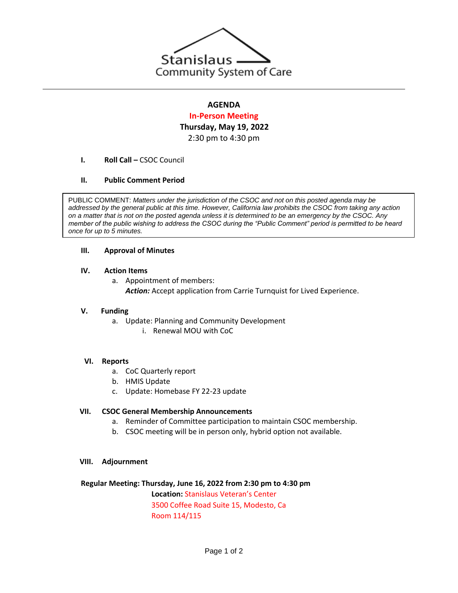

# **AGENDA**

# **In-Person Meeting Thursday, May 19, 2022** 2:30 pm to 4:30 pm

**I. Roll Call – CSOC Council** 

# **II. Public Comment Period**

PUBLIC COMMENT: *Matters under the jurisdiction of the CSOC and not on this posted agenda may be addressed by the general public at this time. However, California law prohibits the CSOC from taking any action on a matter that is not on the posted agenda unless it is determined to be an emergency by the CSOC. Any member of the public wishing to address the CSOC during the "Public Comment" period is permitted to be heard once for up to 5 minutes.*

## **III. Approval of Minutes**

## **IV. Action Items**

- a. Appointment of members:
	- Action: Accept application from Carrie Turnquist for Lived Experience.

#### **V. Funding**

- a. Update: Planning and Community Development
	- i. Renewal MOU with CoC

#### **VI. Reports**

- a. CoC Quarterly report
- b. HMIS Update
- c. Update: Homebase FY 22-23 update

#### **VII. CSOC General Membership Announcements**

- a. Reminder of Committee participation to maintain CSOC membership.
- b. CSOC meeting will be in person only, hybrid option not available.

#### **VIII. Adjournment**

#### **Regular Meeting: Thursday, June 16, 2022 from 2:30 pm to 4:30 pm**

**Location:** Stanislaus Veteran's Center 3500 Coffee Road Suite 15, Modesto, Ca Room 114/115